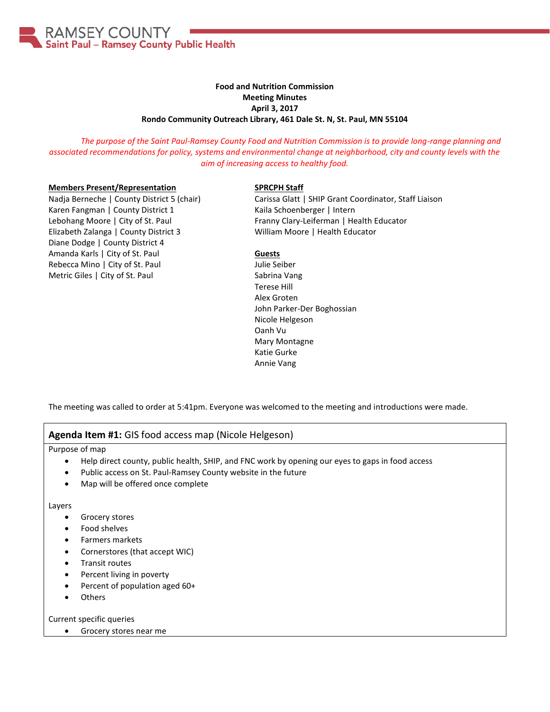

# **Food and Nutrition Commission Meeting Minutes April 3, 2017 Rondo Community Outreach Library, 461 Dale St. N, St. Paul, MN 55104**

*The purpose of the Saint Paul-Ramsey County Food and Nutrition Commission is to provide long-range planning and associated recommendations for policy, systems and environmental change at neighborhood, city and county levels with the aim of increasing access to healthy food.*

### **Members Present/Representation**

Nadja Berneche | County District 5 (chair) Karen Fangman | County District 1 Lebohang Moore | City of St. Paul Elizabeth Zalanga | County District 3 Diane Dodge | County District 4 Amanda Karls | City of St. Paul Rebecca Mino | City of St. Paul Metric Giles | City of St. Paul

### **SPRCPH Staff**

Carissa Glatt | SHIP Grant Coordinator, Staff Liaison Kaila Schoenberger | Intern Franny Clary-Leiferman | Health Educator William Moore | Health Educator

## **Guests**

Julie Seiber Sabrina Vang Terese Hill Alex Groten John Parker-Der Boghossian Nicole Helgeson Oanh Vu Mary Montagne Katie Gurke Annie Vang

The meeting was called to order at 5:41pm. Everyone was welcomed to the meeting and introductions were made.

# **Agenda Item #1:** GIS food access map (Nicole Helgeson)

Purpose of map

- Help direct county, public health, SHIP, and FNC work by opening our eyes to gaps in food access
- Public access on St. Paul-Ramsey County website in the future
- Map will be offered once complete

Layers

- Grocery stores
- Food shelves
- Farmers markets
- Cornerstores (that accept WIC)
- Transit routes
- Percent living in poverty
- Percent of population aged 60+
- Others

Current specific queries

Grocery stores near me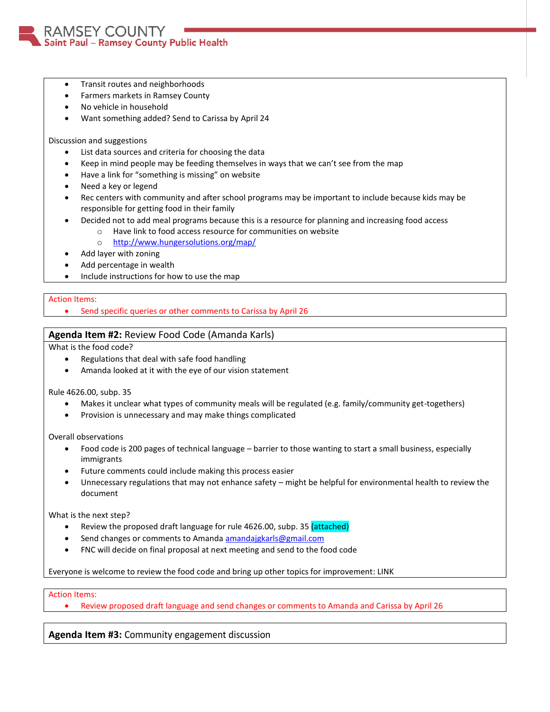

- Transit routes and neighborhoods
- Farmers markets in Ramsey County
- No vehicle in household
- Want something added? Send to Carissa by April 24

Discussion and suggestions

- List data sources and criteria for choosing the data
- Keep in mind people may be feeding themselves in ways that we can't see from the map
- Have a link for "something is missing" on website
- Need a key or legend
- Rec centers with community and after school programs may be important to include because kids may be responsible for getting food in their family
- Decided not to add meal programs because this is a resource for planning and increasing food access
	- o Have link to food access resource for communities on website
		- o <http://www.hungersolutions.org/map/>
- Add layer with zoning
- Add percentage in wealth
- Include instructions for how to use the map

### Action Items:

• Send specific queries or other comments to Carissa by April 26

# **Agenda Item #2:** Review Food Code (Amanda Karls)

What is the food code?

- Regulations that deal with safe food handling
- Amanda looked at it with the eye of our vision statement

Rule 4626.00, subp. 35

- Makes it unclear what types of community meals will be regulated (e.g. family/community get-togethers)
- Provision is unnecessary and may make things complicated

Overall observations

- Food code is 200 pages of technical language barrier to those wanting to start a small business, especially immigrants
- Future comments could include making this process easier
- Unnecessary regulations that may not enhance safety might be helpful for environmental health to review the document

What is the next step?

- Review the proposed draft language for rule 4626.00, subp. 35 (attached)
- Send changes or comments to Amanda [amandajgkarls@gmail.com](mailto:amandajgkarls@gmail.com)
- FNC will decide on final proposal at next meeting and send to the food code

Everyone is welcome to review the food code and bring up other topics for improvement: LINK

### Action Items:

Review proposed draft language and send changes or comments to Amanda and Carissa by April 26

**Agenda Item #3:** Community engagement discussion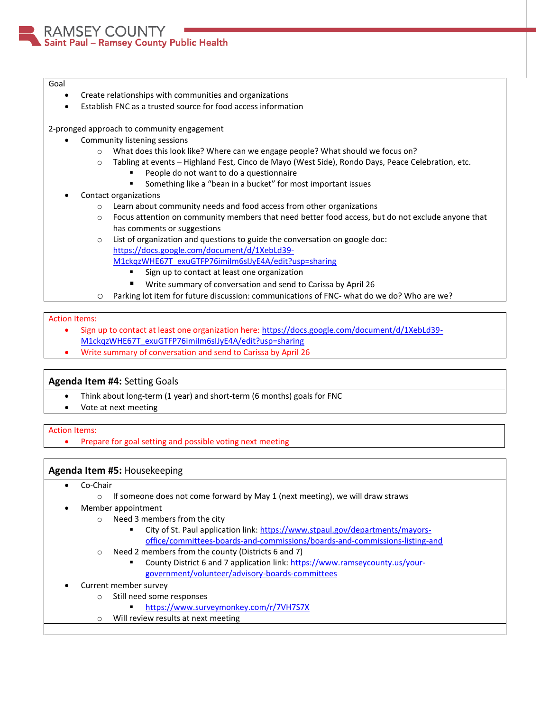AMSEY COUNTY Saint Paul - Ramsey County Public Health

#### Goal

- Create relationships with communities and organizations
- Establish FNC as a trusted source for food access information

2-pronged approach to community engagement

- Community listening sessions
	- o What does this look like? Where can we engage people? What should we focus on?
	- o Tabling at events Highland Fest, Cinco de Mayo (West Side), Rondo Days, Peace Celebration, etc.
		- People do not want to do a questionnaire
			- Something like a "bean in a bucket" for most important issues
- Contact organizations
	- o Learn about community needs and food access from other organizations
	- o Focus attention on community members that need better food access, but do not exclude anyone that has comments or suggestions
	- $\circ$  List of organization and questions to guide the conversation on google doc: [https://docs.google.com/document/d/1XebLd39-](https://docs.google.com/document/d/1XebLd39-M1ckqzWHE67T_exuGTFP76imiIm6sIJyE4A/edit?usp=sharing) [M1ckqzWHE67T\\_exuGTFP76imiIm6sIJyE4A/edit?usp=sharing](https://docs.google.com/document/d/1XebLd39-M1ckqzWHE67T_exuGTFP76imiIm6sIJyE4A/edit?usp=sharing)
		- **Sign up to contact at least one organization**
		- Write summary of conversation and send to Carissa by April 26
	- o Parking lot item for future discussion: communications of FNC- what do we do? Who are we?

## Action Items:

- Sign up to contact at least one organization here: [https://docs.google.com/document/d/1XebLd39-](https://docs.google.com/document/d/1XebLd39-M1ckqzWHE67T_exuGTFP76imiIm6sIJyE4A/edit?usp=sharing) [M1ckqzWHE67T\\_exuGTFP76imiIm6sIJyE4A/edit?usp=sharing](https://docs.google.com/document/d/1XebLd39-M1ckqzWHE67T_exuGTFP76imiIm6sIJyE4A/edit?usp=sharing)
- Write summary of conversation and send to Carissa by April 26

# **Agenda Item #4:** Setting Goals

- Think about long-term (1 year) and short-term (6 months) goals for FNC
- Vote at next meeting

# Action Items:

Prepare for goal setting and possible voting next meeting

# **Agenda Item #5:** Housekeeping

- Co-Chair
	- $\circ$  If someone does not come forward by May 1 (next meeting), we will draw straws
- Member appointment
	- o Need 3 members from the city
		- City of St. Paul application link[: https://www.stpaul.gov/departments/mayors](https://www.stpaul.gov/departments/mayors-office/committees-boards-and-commissions/boards-and-commissions-listing-and)[office/committees-boards-and-commissions/boards-and-commissions-listing-and](https://www.stpaul.gov/departments/mayors-office/committees-boards-and-commissions/boards-and-commissions-listing-and)
	- o Need 2 members from the county (Districts 6 and 7)
		- County District 6 and 7 application link[: https://www.ramseycounty.us/your](https://www.ramseycounty.us/your-government/volunteer/advisory-boards-committees)[government/volunteer/advisory-boards-committees](https://www.ramseycounty.us/your-government/volunteer/advisory-boards-committees)

# Current member survey

- o Still need some responses
	- <https://www.surveymonkey.com/r/7VH7S7X>
- o Will review results at next meeting